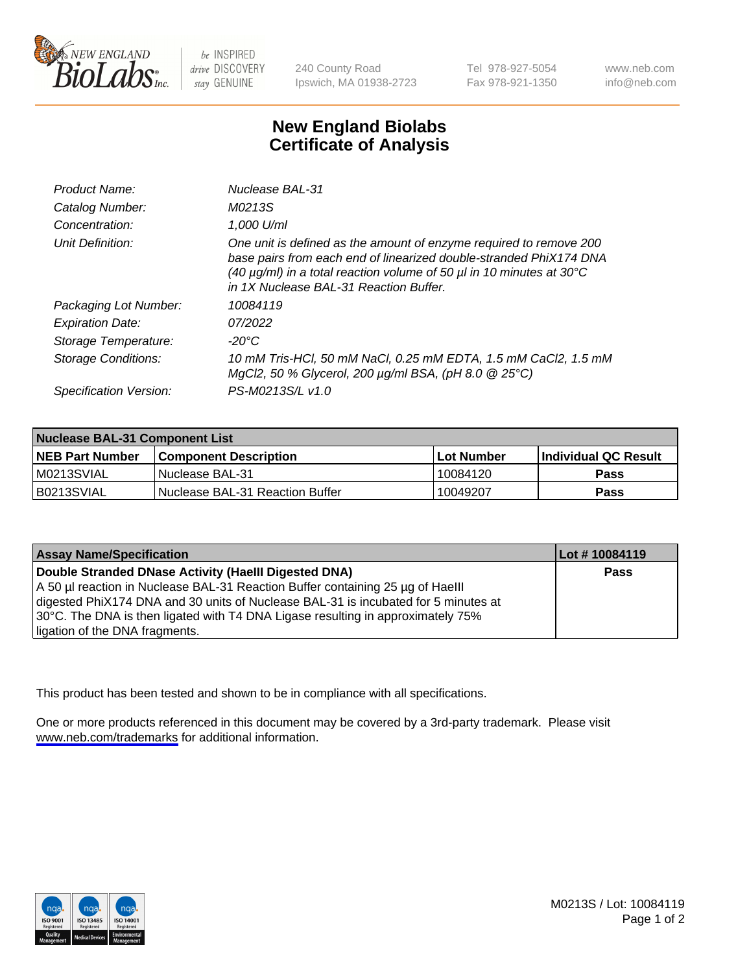

be INSPIRED drive DISCOVERY stay GENUINE

240 County Road Ipswich, MA 01938-2723 Tel 978-927-5054 Fax 978-921-1350

www.neb.com info@neb.com

## **New England Biolabs Certificate of Analysis**

| Product Name:           | Nuclease BAL-31                                                                                                                                                                                                                                                                |
|-------------------------|--------------------------------------------------------------------------------------------------------------------------------------------------------------------------------------------------------------------------------------------------------------------------------|
| Catalog Number:         | M0213S                                                                                                                                                                                                                                                                         |
| Concentration:          | 1,000 U/ml                                                                                                                                                                                                                                                                     |
| Unit Definition:        | One unit is defined as the amount of enzyme required to remove 200<br>base pairs from each end of linearized double-stranded PhiX174 DNA<br>(40 $\mu$ g/ml) in a total reaction volume of 50 $\mu$ l in 10 minutes at 30 $\degree$ C<br>in 1X Nuclease BAL-31 Reaction Buffer. |
| Packaging Lot Number:   | 10084119                                                                                                                                                                                                                                                                       |
| <b>Expiration Date:</b> | 07/2022                                                                                                                                                                                                                                                                        |
| Storage Temperature:    | -20°C                                                                                                                                                                                                                                                                          |
| Storage Conditions:     | 10 mM Tris-HCl, 50 mM NaCl, 0.25 mM EDTA, 1.5 mM CaCl2, 1.5 mM<br>MgCl2, 50 % Glycerol, 200 $\mu$ g/ml BSA, (pH 8.0 $\circledR$ 25°C)                                                                                                                                          |
| Specification Version:  | PS-M0213S/L v1.0                                                                                                                                                                                                                                                               |

| Nuclease BAL-31 Component List |                                  |              |                             |  |
|--------------------------------|----------------------------------|--------------|-----------------------------|--|
| <b>NEB Part Number</b>         | <b>Component Description</b>     | l Lot Number | <b>Individual QC Result</b> |  |
| M0213SVIAL                     | l Nuclease BAL-31                | 10084120     | <b>Pass</b>                 |  |
| IB0213SVIAL                    | INuclease BAL-31 Reaction Buffer | 10049207     | Pass                        |  |

| <b>Assay Name/Specification</b>                                                    | Lot #10084119 |
|------------------------------------------------------------------------------------|---------------|
| Double Stranded DNase Activity (Haelll Digested DNA)                               | Pass          |
| A 50 µl reaction in Nuclease BAL-31 Reaction Buffer containing 25 µg of Haelll     |               |
| digested PhiX174 DNA and 30 units of Nuclease BAL-31 is incubated for 5 minutes at |               |
| 30°C. The DNA is then ligated with T4 DNA Ligase resulting in approximately 75%    |               |
| ligation of the DNA fragments.                                                     |               |

This product has been tested and shown to be in compliance with all specifications.

One or more products referenced in this document may be covered by a 3rd-party trademark. Please visit <www.neb.com/trademarks>for additional information.